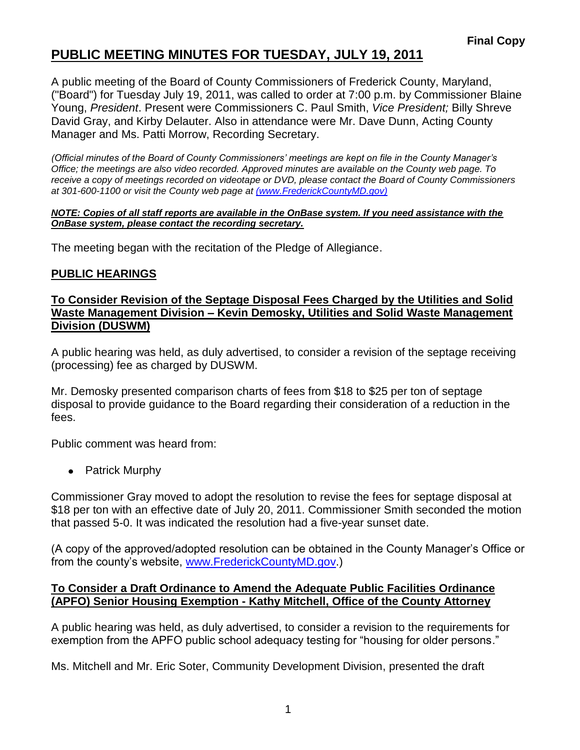## **PUBLIC MEETING MINUTES FOR TUESDAY, JULY 19, 2011**

A public meeting of the Board of County Commissioners of Frederick County, Maryland, ("Board") for Tuesday July 19, 2011, was called to order at 7:00 p.m. by Commissioner Blaine Young, *President*. Present were Commissioners C. Paul Smith, *Vice President;* Billy Shreve David Gray, and Kirby Delauter. Also in attendance were Mr. Dave Dunn, Acting County Manager and Ms. Patti Morrow, Recording Secretary.

*(Official minutes of the Board of County Commissioners' meetings are kept on file in the County Manager's Office; the meetings are also video recorded. Approved minutes are available on the County web page. To receive a copy of meetings recorded on videotape or DVD, please contact the Board of County Commissioners at 301-600-1100 or visit the County web page at [\(www.FrederickCountyMD.gov\)](file://NT1S5/BOCC/BOCC/BOCC%20Minutes/Patti)*

#### *NOTE: Copies of all staff reports are available in the OnBase system. If you need assistance with the OnBase system, please contact the recording secretary.*

The meeting began with the recitation of the Pledge of Allegiance.

### **PUBLIC HEARINGS**

#### **To Consider Revision of the Septage Disposal Fees Charged by the Utilities and Solid Waste Management Division – Kevin Demosky, Utilities and Solid Waste Management Division (DUSWM)**

A public hearing was held, as duly advertised, to consider a revision of the septage receiving (processing) fee as charged by DUSWM.

Mr. Demosky presented comparison charts of fees from \$18 to \$25 per ton of septage disposal to provide guidance to the Board regarding their consideration of a reduction in the fees.

Public comment was heard from:

• Patrick Murphy

Commissioner Gray moved to adopt the resolution to revise the fees for septage disposal at \$18 per ton with an effective date of July 20, 2011. Commissioner Smith seconded the motion that passed 5-0. It was indicated the resolution had a five-year sunset date.

(A copy of the approved/adopted resolution can be obtained in the County Manager's Office or from the county's website, [www.FrederickCountyMD.gov.](http://www.frederickcountymd.gov/))

#### **To Consider a Draft Ordinance to Amend the Adequate Public Facilities Ordinance (APFO) Senior Housing Exemption - Kathy Mitchell, Office of the County Attorney**

A public hearing was held, as duly advertised, to consider a revision to the requirements for exemption from the APFO public school adequacy testing for "housing for older persons."

Ms. Mitchell and Mr. Eric Soter, Community Development Division, presented the draft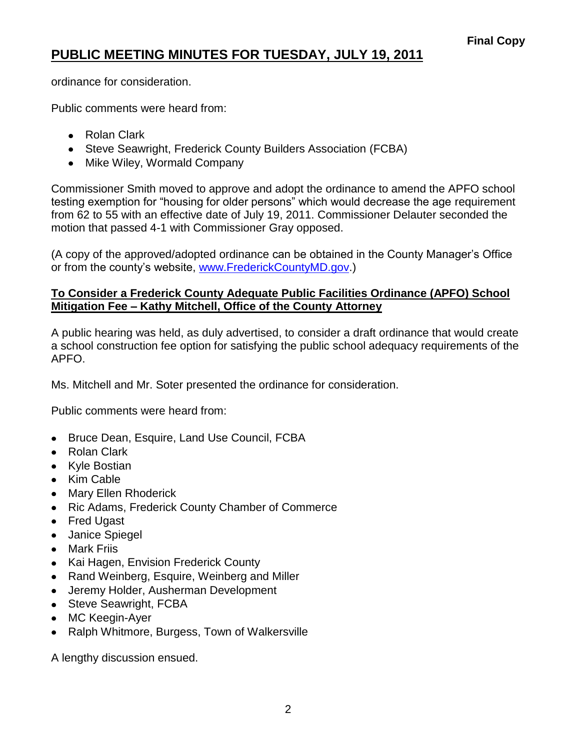# **PUBLIC MEETING MINUTES FOR TUESDAY, JULY 19, 2011**

ordinance for consideration.

Public comments were heard from:

- Rolan Clark
- Steve Seawright, Frederick County Builders Association (FCBA)
- Mike Wiley, Wormald Company

Commissioner Smith moved to approve and adopt the ordinance to amend the APFO school testing exemption for "housing for older persons" which would decrease the age requirement from 62 to 55 with an effective date of July 19, 2011. Commissioner Delauter seconded the motion that passed 4-1 with Commissioner Gray opposed.

(A copy of the approved/adopted ordinance can be obtained in the County Manager's Office or from the county's website, [www.FrederickCountyMD.gov.](http://www.frederickcountymd.gov/))

### **To Consider a Frederick County Adequate Public Facilities Ordinance (APFO) School Mitigation Fee – Kathy Mitchell, Office of the County Attorney**

A public hearing was held, as duly advertised, to consider a draft ordinance that would create a school construction fee option for satisfying the public school adequacy requirements of the APFO.

Ms. Mitchell and Mr. Soter presented the ordinance for consideration.

Public comments were heard from:

- Bruce Dean, Esquire, Land Use Council, FCBA  $\bullet$
- Rolan Clark
- Kyle Bostian
- Kim Cable
- Mary Ellen Rhoderick
- Ric Adams, Frederick County Chamber of Commerce
- Fred Ugast
- Janice Spiegel
- Mark Friis
- Kai Hagen, Envision Frederick County
- Rand Weinberg, Esquire, Weinberg and Miller
- Jeremy Holder, Ausherman Development
- Steve Seawright, FCBA
- MC Keegin-Ayer
- Ralph Whitmore, Burgess, Town of Walkersville

A lengthy discussion ensued.